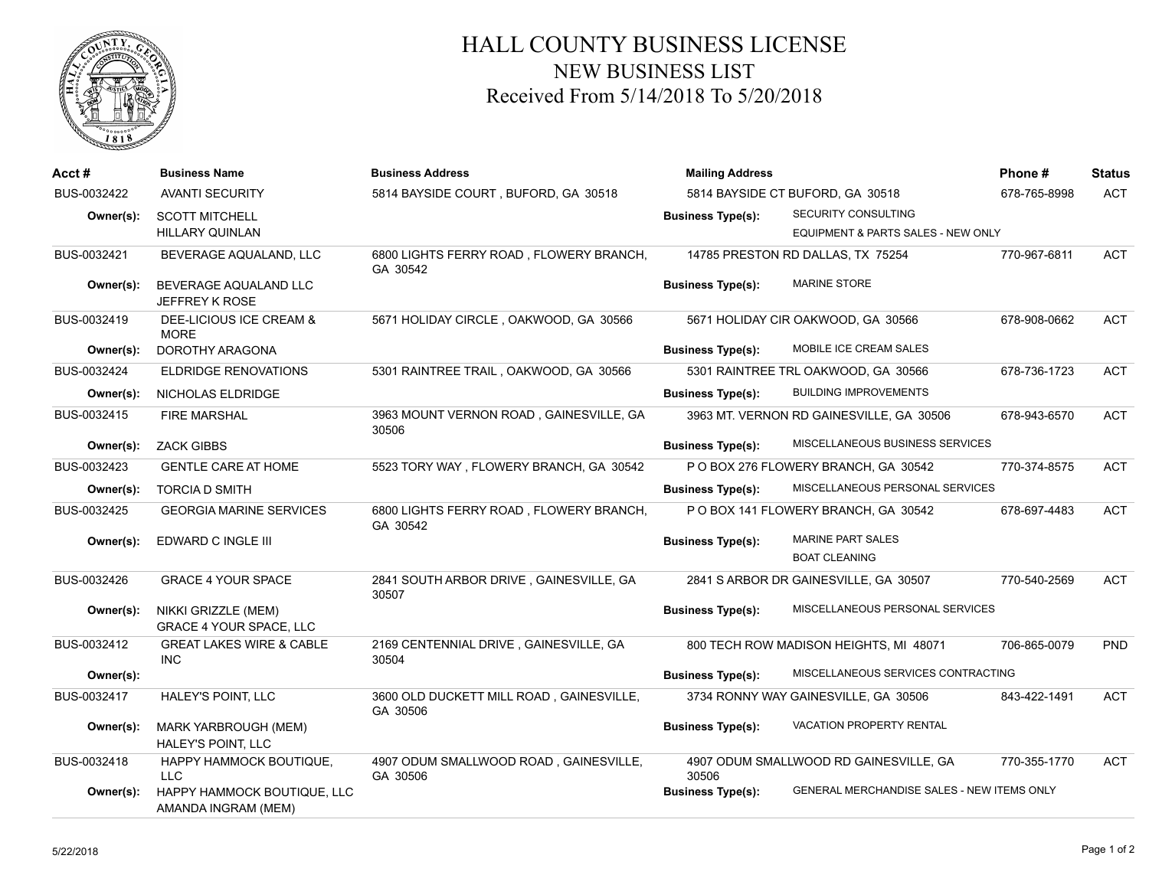

## HALL COUNTY BUSINESS LICENSE NEW BUSINESS LIST Received From 5/14/2018 To 5/20/2018

| Acct#       | <b>Business Name</b>                                  | <b>Business Address</b>                              | <b>Mailing Address</b>   |                                                  | Phone #      | <b>Status</b> |
|-------------|-------------------------------------------------------|------------------------------------------------------|--------------------------|--------------------------------------------------|--------------|---------------|
| BUS-0032422 | <b>AVANTI SECURITY</b>                                | 5814 BAYSIDE COURT, BUFORD, GA 30518                 |                          | 5814 BAYSIDE CT BUFORD, GA 30518                 | 678-765-8998 | <b>ACT</b>    |
| Owner(s):   | <b>SCOTT MITCHELL</b>                                 |                                                      | <b>Business Type(s):</b> | SECURITY CONSULTING                              |              |               |
|             | <b>HILLARY QUINLAN</b>                                |                                                      |                          | EQUIPMENT & PARTS SALES - NEW ONLY               |              |               |
| BUS-0032421 | BEVERAGE AQUALAND, LLC                                | 6800 LIGHTS FERRY ROAD, FLOWERY BRANCH,<br>GA 30542  |                          | 14785 PRESTON RD DALLAS, TX 75254                | 770-967-6811 | <b>ACT</b>    |
| Owner(s):   | BEVERAGE AQUALAND LLC<br>JEFFREY K ROSE               |                                                      | <b>Business Type(s):</b> | <b>MARINE STORE</b>                              |              |               |
| BUS-0032419 | DEE-LICIOUS ICE CREAM &<br><b>MORE</b>                | 5671 HOLIDAY CIRCLE, OAKWOOD, GA 30566               |                          | 5671 HOLIDAY CIR OAKWOOD, GA 30566               | 678-908-0662 | <b>ACT</b>    |
| Owner(s):   | DOROTHY ARAGONA                                       |                                                      | <b>Business Type(s):</b> | MOBILE ICE CREAM SALES                           |              |               |
| BUS-0032424 | <b>ELDRIDGE RENOVATIONS</b>                           | 5301 RAINTREE TRAIL, OAKWOOD, GA 30566               |                          | 5301 RAINTREE TRL OAKWOOD, GA 30566              | 678-736-1723 | <b>ACT</b>    |
| Owner(s):   | NICHOLAS ELDRIDGE                                     |                                                      | <b>Business Type(s):</b> | <b>BUILDING IMPROVEMENTS</b>                     |              |               |
| BUS-0032415 | <b>FIRE MARSHAL</b>                                   | 3963 MOUNT VERNON ROAD, GAINESVILLE, GA<br>30506     |                          | 3963 MT. VERNON RD GAINESVILLE, GA 30506         | 678-943-6570 | <b>ACT</b>    |
| Owner(s):   | <b>ZACK GIBBS</b>                                     |                                                      | <b>Business Type(s):</b> | MISCELLANEOUS BUSINESS SERVICES                  |              |               |
| BUS-0032423 | <b>GENTLE CARE AT HOME</b>                            | 5523 TORY WAY, FLOWERY BRANCH, GA 30542              |                          | P O BOX 276 FLOWERY BRANCH, GA 30542             | 770-374-8575 | <b>ACT</b>    |
| Owner(s):   | <b>TORCIA D SMITH</b>                                 |                                                      | <b>Business Type(s):</b> | MISCELLANEOUS PERSONAL SERVICES                  |              |               |
| BUS-0032425 | <b>GEORGIA MARINE SERVICES</b>                        | 6800 LIGHTS FERRY ROAD, FLOWERY BRANCH,<br>GA 30542  |                          | P O BOX 141 FLOWERY BRANCH, GA 30542             | 678-697-4483 | <b>ACT</b>    |
| Owner(s):   | EDWARD C INGLE III                                    |                                                      | <b>Business Type(s):</b> | <b>MARINE PART SALES</b><br><b>BOAT CLEANING</b> |              |               |
| BUS-0032426 | <b>GRACE 4 YOUR SPACE</b>                             | 2841 SOUTH ARBOR DRIVE, GAINESVILLE, GA<br>30507     |                          | 2841 S ARBOR DR GAINESVILLE, GA 30507            | 770-540-2569 | <b>ACT</b>    |
| Owner(s):   | NIKKI GRIZZLE (MEM)<br><b>GRACE 4 YOUR SPACE, LLC</b> |                                                      | <b>Business Type(s):</b> | MISCELLANEOUS PERSONAL SERVICES                  |              |               |
| BUS-0032412 | <b>GREAT LAKES WIRE &amp; CABLE</b><br>INC            | 2169 CENTENNIAL DRIVE, GAINESVILLE, GA<br>30504      |                          | 800 TECH ROW MADISON HEIGHTS, MI 48071           | 706-865-0079 | PND           |
| Owner(s):   |                                                       |                                                      | <b>Business Type(s):</b> | MISCELLANEOUS SERVICES CONTRACTING               |              |               |
| BUS-0032417 | HALEY'S POINT, LLC                                    | 3600 OLD DUCKETT MILL ROAD, GAINESVILLE,<br>GA 30506 |                          | 3734 RONNY WAY GAINESVILLE, GA 30506             | 843-422-1491 | <b>ACT</b>    |
| Owner(s):   | MARK YARBROUGH (MEM)<br>HALEY'S POINT, LLC            |                                                      | <b>Business Type(s):</b> | <b>VACATION PROPERTY RENTAL</b>                  |              |               |
| BUS-0032418 | HAPPY HAMMOCK BOUTIQUE,<br>LLC                        | 4907 ODUM SMALLWOOD ROAD, GAINESVILLE,<br>GA 30506   | 30506                    | 4907 ODUM SMALLWOOD RD GAINESVILLE, GA           | 770-355-1770 | <b>ACT</b>    |
| Owner(s):   | HAPPY HAMMOCK BOUTIQUE, LLC<br>AMANDA INGRAM (MEM)    |                                                      | <b>Business Type(s):</b> | GENERAL MERCHANDISE SALES - NEW ITEMS ONLY       |              |               |